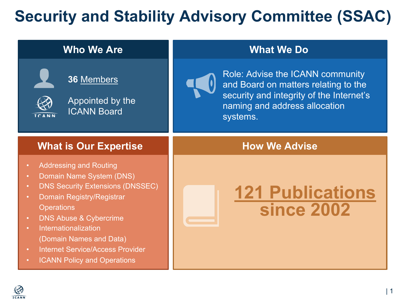## **Security and Stability Advisory Committee (State)**

| <b>Who We Are</b>                                                                                                                                                                                                                                                                                                                                                                                                                       | <b>What We Do</b>                                                                                                                               |
|-----------------------------------------------------------------------------------------------------------------------------------------------------------------------------------------------------------------------------------------------------------------------------------------------------------------------------------------------------------------------------------------------------------------------------------------|-------------------------------------------------------------------------------------------------------------------------------------------------|
| 36 Members<br>Appointed by the<br><b>ICANN Board</b>                                                                                                                                                                                                                                                                                                                                                                                    | Role: Advise the ICANN comm<br>and Board on matters relating<br>security and integrity of the Inte<br>naming and address allocation<br>systems. |
| <b>What is Our Expertise</b>                                                                                                                                                                                                                                                                                                                                                                                                            | <b>How We Advise</b>                                                                                                                            |
| <b>Addressing and Routing</b><br>$\bullet$<br>Domain Name System (DNS)<br>$\bullet$<br><b>DNS Security Extensions (DNSSEC)</b><br>$\bullet$<br>Domain Registry/Registrar<br>$\bullet$<br><b>Operations</b><br><b>DNS Abuse &amp; Cybercrime</b><br>$\bullet$<br>Internationalization<br>$\bullet$<br>(Domain Names and Data)<br><b>Internet Service/Access Provider</b><br>$\bullet$<br><b>ICANN Policy and Operations</b><br>$\bullet$ | 121 Publicati<br><b>since 2002</b>                                                                                                              |

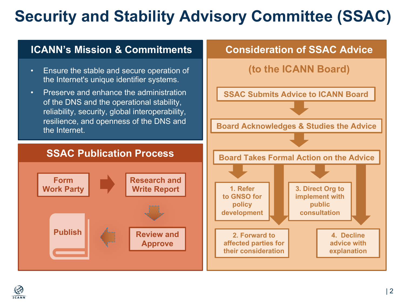# **Security and Stability Advisory Committee (SSAC)**

#### **ICANN's Mission & Commitments**

- Ensure the stable and secure operation of the Internet's unique identifier systems.
- Preserve and enhance the administration of the DNS and the operational stability, reliability, security, global interoperability, resilience, and openness of the DNS and the Internet.

#### **Consideration of SSAC Advice**



#### **SSAC Publication Process**